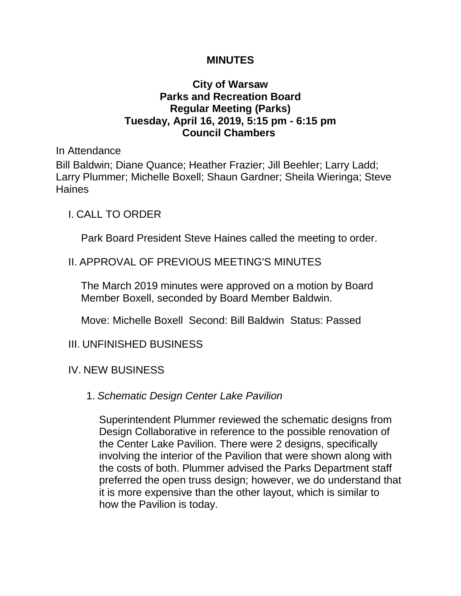### **MINUTES**

## **City of Warsaw Parks and Recreation Board Regular Meeting (Parks) Tuesday, April 16, 2019, 5:15 pm - 6:15 pm Council Chambers**

In Attendance

Bill Baldwin; Diane Quance; Heather Frazier; Jill Beehler; Larry Ladd; Larry Plummer; Michelle Boxell; Shaun Gardner; Sheila Wieringa; Steve Haines

I. CALL TO ORDER

Park Board President Steve Haines called the meeting to order.

## II. APPROVAL OF PREVIOUS MEETING'S MINUTES

The March 2019 minutes were approved on a motion by Board Member Boxell, seconded by Board Member Baldwin.

Move: Michelle Boxell Second: Bill Baldwin Status: Passed

III. UNFINISHED BUSINESS

IV. NEW BUSINESS

### 1. *Schematic Design Center Lake Pavilion*

Superintendent Plummer reviewed the schematic designs from Design Collaborative in reference to the possible renovation of the Center Lake Pavilion. There were 2 designs, specifically involving the interior of the Pavilion that were shown along with the costs of both. Plummer advised the Parks Department staff preferred the open truss design; however, we do understand that it is more expensive than the other layout, which is similar to how the Pavilion is today.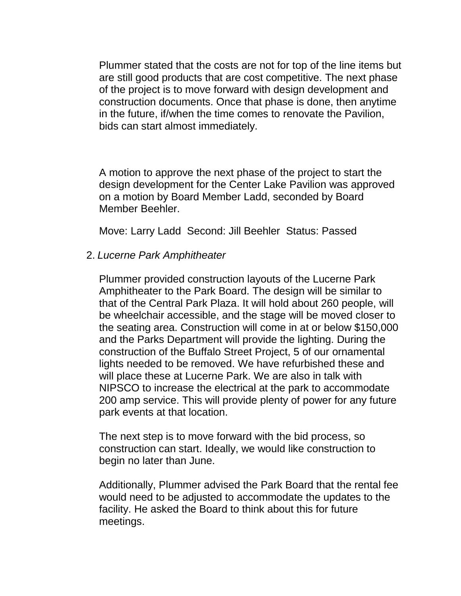Plummer stated that the costs are not for top of the line items but are still good products that are cost competitive. The next phase of the project is to move forward with design development and construction documents. Once that phase is done, then anytime in the future, if/when the time comes to renovate the Pavilion, bids can start almost immediately.

A motion to approve the next phase of the project to start the design development for the Center Lake Pavilion was approved on a motion by Board Member Ladd, seconded by Board Member Beehler.

Move: Larry Ladd Second: Jill Beehler Status: Passed

## 2. *Lucerne Park Amphitheater*

Plummer provided construction layouts of the Lucerne Park Amphitheater to the Park Board. The design will be similar to that of the Central Park Plaza. It will hold about 260 people, will be wheelchair accessible, and the stage will be moved closer to the seating area. Construction will come in at or below \$150,000 and the Parks Department will provide the lighting. During the construction of the Buffalo Street Project, 5 of our ornamental lights needed to be removed. We have refurbished these and will place these at Lucerne Park. We are also in talk with NIPSCO to increase the electrical at the park to accommodate 200 amp service. This will provide plenty of power for any future park events at that location.

The next step is to move forward with the bid process, so construction can start. Ideally, we would like construction to begin no later than June.

Additionally, Plummer advised the Park Board that the rental fee would need to be adjusted to accommodate the updates to the facility. He asked the Board to think about this for future meetings.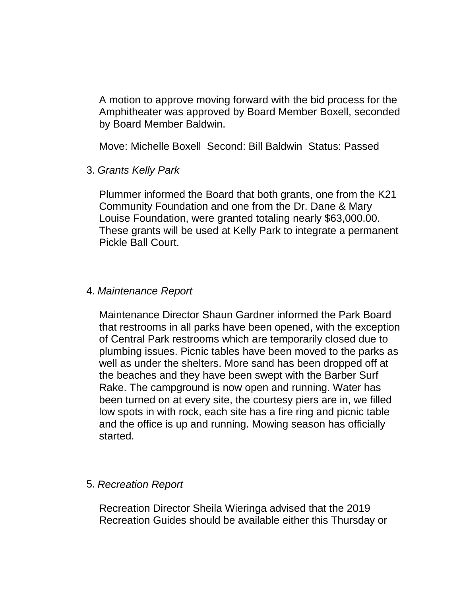A motion to approve moving forward with the bid process for the Amphitheater was approved by Board Member Boxell, seconded by Board Member Baldwin.

Move: Michelle Boxell Second: Bill Baldwin Status: Passed

3. *Grants Kelly Park* 

Plummer informed the Board that both grants, one from the K21 Community Foundation and one from the Dr. Dane & Mary Louise Foundation, were granted totaling nearly \$63,000.00. These grants will be used at Kelly Park to integrate a permanent Pickle Ball Court.

#### 4. *Maintenance Report*

Maintenance Director Shaun Gardner informed the Park Board that restrooms in all parks have been opened, with the exception of Central Park restrooms which are temporarily closed due to plumbing issues. Picnic tables have been moved to the parks as well as under the shelters. More sand has been dropped off at the beaches and they have been swept with the Barber Surf Rake. The campground is now open and running. Water has been turned on at every site, the courtesy piers are in, we filled low spots in with rock, each site has a fire ring and picnic table and the office is up and running. Mowing season has officially started.

### 5. *Recreation Report*

Recreation Director Sheila Wieringa advised that the 2019 Recreation Guides should be available either this Thursday or